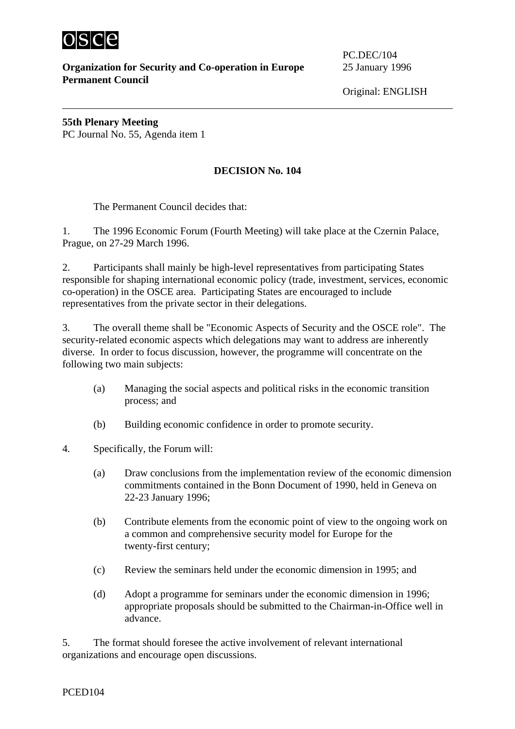

**Organization for Security and Co-operation in Europe** 25 January 1996 **Permanent Council** 

PC.DEC/104

Original: ENGLISH

**55th Plenary Meeting** PC Journal No. 55, Agenda item 1

## **DECISION No. 104**

The Permanent Council decides that:

1. The 1996 Economic Forum (Fourth Meeting) will take place at the Czernin Palace, Prague, on 27-29 March 1996.

2. Participants shall mainly be high-level representatives from participating States responsible for shaping international economic policy (trade, investment, services, economic co-operation) in the OSCE area. Participating States are encouraged to include representatives from the private sector in their delegations.

3. The overall theme shall be "Economic Aspects of Security and the OSCE role". The security-related economic aspects which delegations may want to address are inherently diverse. In order to focus discussion, however, the programme will concentrate on the following two main subjects:

- (a) Managing the social aspects and political risks in the economic transition process; and
- (b) Building economic confidence in order to promote security.
- 4. Specifically, the Forum will:
	- (a) Draw conclusions from the implementation review of the economic dimension commitments contained in the Bonn Document of 1990, held in Geneva on 22-23 January 1996;
	- (b) Contribute elements from the economic point of view to the ongoing work on a common and comprehensive security model for Europe for the twenty-first century;
	- (c) Review the seminars held under the economic dimension in 1995; and
	- (d) Adopt a programme for seminars under the economic dimension in 1996; appropriate proposals should be submitted to the Chairman-in-Office well in advance.

5. The format should foresee the active involvement of relevant international organizations and encourage open discussions.

PCED104